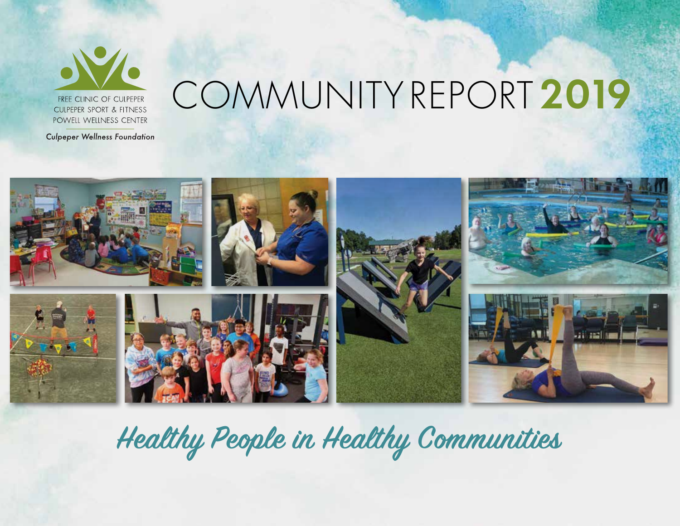

COMMUNITY REPORT **2019**

**Culpeper Wellness Foundation** 



**Healthy People in Healthy Communities**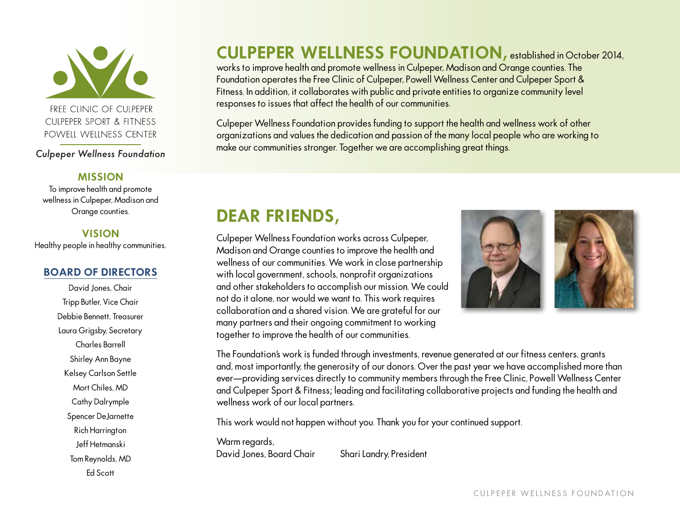

FREE CLINIC OF CULPEPER **CULPEPER SPORT & FITNESS** POWELL WELLNESS CENTER

**Culpeper Wellness Foundation** 

#### **MISSION**

To improve health and promote wellness in Culpeper, Madison and Orange counties.

#### **VISION**

Healthy people in healthy communities.

#### **BOARD OF DIRECTORS**

David Jones, Chair Tripp Butler, Vice Chair Debbie Bennett, Treasurer Laura Grigsby, Secretary Charles Barrell Shirley Ann Bayne Kelsey Carlson Settle Mort Chiles, MD Cathy Dalrymple Spencer DeJarnette Rich Harrington Jeff Hetmanski Tom Reynolds, MD Ed Scott

### **CULPEPER WELLNESS FOUNDATION,** established in October 2014,

works to improve health and promote wellness in Culpeper, Madison and Orange counties. The Foundation operates the Free Clinic of Culpeper, Powell Wellness Center and Culpeper Sport & Fitness. In addition, it collaborates with public and private entities to organize community level responses to issues that affect the health of our communities.

Culpeper Wellness Foundation provides funding to support the health and wellness work of other organizations and values the dedication and passion of the many local people who are working to make our communities stronger. Together we are accomplishing great things.

## **DEAR FRIENDS,**

Culpeper Wellness Foundation works across Culpeper, Madison and Orange counties to improve the health and wellness of our communities. We work in close partnership with local government, schools, nonprofit organizations and other stakeholders to accomplish our mission. We could not do it alone, nor would we want to. This work requires collaboration and a shared vision. We are grateful for our many partners and their ongoing commitment to working together to improve the health of our communities.



The Foundation's work is funded through investments, revenue generated at our fitness centers, grants and, most importantly, the generosity of our donors. Over the past year we have accomplished more than ever—providing services directly to community members through the Free Clinic, Powell Wellness Center and Culpeper Sport & Fitness; leading and facilitating collaborative projects and funding the health and wellness work of our local partners.

This work would not happen without you. Thank you for your continued support.

Warm regards, David Jones, Board Chair Shari Landry, President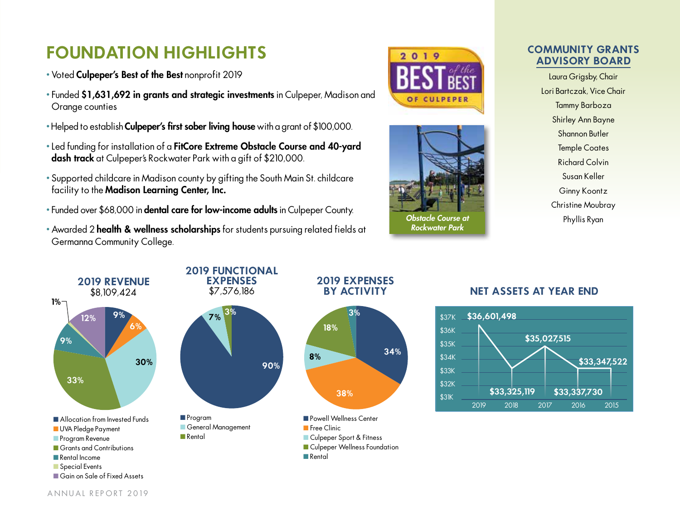## **FOUNDATION HIGHLIGHTS**

- Voted Culpeper's Best of the Best nonprofit 2019
- Funded \$1,631,692 in grants and strategic investments in Culpeper, Madison and Orange counties
- Helped to establish **Culpeper's first sober living house** with a grant of \$100,000.
- Led funding for installation of a FitCore Extreme Obstacle Course and 40-yard dash track at Culpeper's Rockwater Park with a gift of \$210,000.
- Supported childcare in Madison county by gifting the South Main St. childcare facility to the Madison Learning Center, Inc.
- Funded over \$68,000 in dental care for low-income adults in Culpeper County.
- Awarded 2 health & wellness scholarships for students pursuing related fields at Germanna Community College.





*Obstacle Course at Rockwater Park*

**34%**



Laura Grigsby, Chair Lori Bartczak, Vice Chair Tammy Barboza Shirley Ann Bayne Shannon Butler Temple Coates Richard Colvin Susan Keller Ginny Koontz Christine Moubray Phyllis Ryan



#### **BY ACTIVITY NET ASSETS AT YEAR END**



ANNUAL REPORT 2019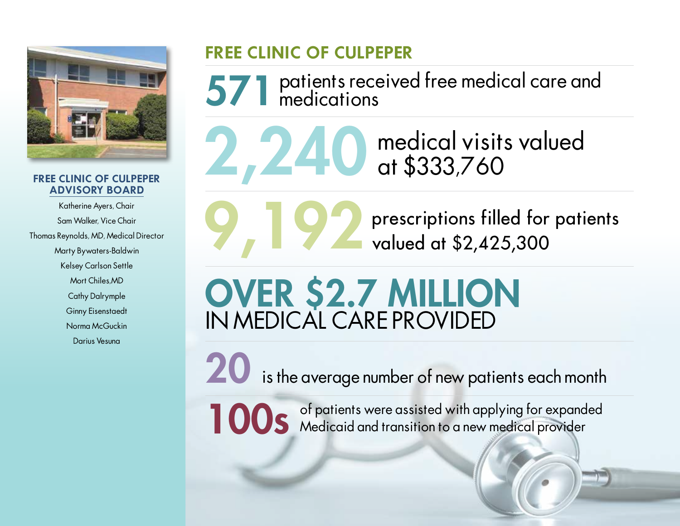

#### **FREE CLINIC OF CULPEPER ADVISORY BOARD**

Katherine Ayers, Chair Sam Walker, Vice Chair Thomas Reynolds, MD, Medical Director Marty Bywaters-Baldwin Kelsey Carlson Settle Mort Chiles,MD Cathy Dalrymple Ginny Eisenstaedt Norma McGuckin Darius Vesuna

## **FREE CLINIC OF CULPEPER**

571 patients received free medical care and medications

**2, 240** medical visits valued<br>at \$333,760 at \$333,760

**9,192°** prescriptions filled for patients valued at \$2,425,300

# OVER \$2.7 MILLION IN MEDICAL CARE PROVIDED

is the average number of new patients each month

100s of patients were assisted with applying for expanded<br>Medicaid and transition to a new medical provider Medicaid and transition to a new medical provider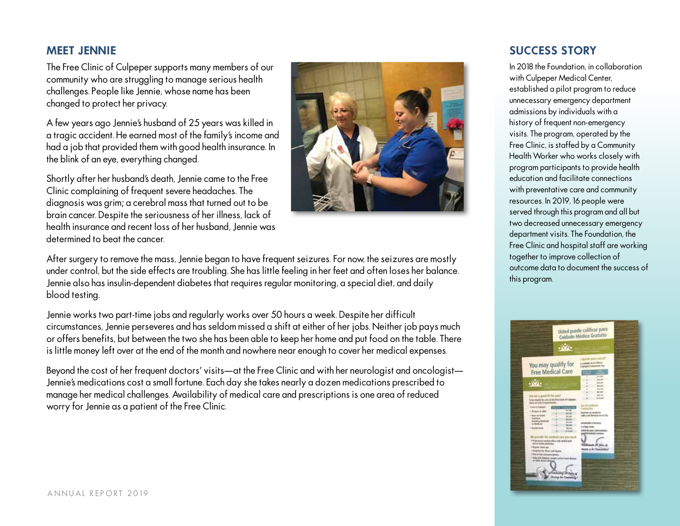#### **MEET JENNIE**

The Free Clinic of Culpeper supports many members of our community who are struggling to manage serious health challenges. People like Jennie, whose name has been changed to protect her privacy.

A few years ago Jennie's husband of 25 years was killed in a tragic accident. He earned most of the family's income and had a job that provided them with good health insurance. In the blink of an eye, everything changed.

Shortly after her husband's death, Jennie came to the Free Clinic complaining of frequent severe headaches. The diagnosis was grim; a cerebral mass that turned out to be brain cancer. Despite the seriousness of her illness, lack of health insurance and recent loss of her husband, Jennie was determined to beat the cancer.



After surgery to remove the mass, Jennie began to have frequent seizures. For now, the seizures are mostly under control, but the side effects are troubling. She has little feeling in her feet and often loses her balance. Jennie also has insulin-dependent diabetes that requires regular monitoring, a special diet, and daily blood testing.

Jennie works two part-time jobs and regularly works over 50 hours a week. Despite her difficult circumstances, Jennie perseveres and has seldom missed a shift at either of her jobs. Neither job pays much or offers benefits, but between the two she has been able to keep her home and put food on the table. There is little money left over at the end of the month and nowhere near enough to cover her medical expenses.

Beyond the cost of her frequent doctors' visits—at the Free Clinic and with her neurologist and oncologist— Jennie's medications cost a small fortune. Each day she takes nearly a dozen medications prescribed to manage her medical challenges. Availability of medical care and prescriptions is one area of reduced worry for Jennie as a patient of the Free Clinic.

#### **SUCCESS STORY**

In 2018 the Foundation, in collaboration with Culpeper Medical Center, established a pilot program to reduce unnecessary emergency department admissions by individuals with a history of frequent non-emergency visits. The program, operated by the Free Clinic, is staffed by a Community Health Worker who works closely with program participants to provide health education and facilitate connections with preventative care and community resources. In 2019, 16 people were served through this program and all but two decreased unnecessary emergency department visits. The Foundation, the Free Clinic and hospital staff are working together to improve collection of outcome data to document the success of this program.

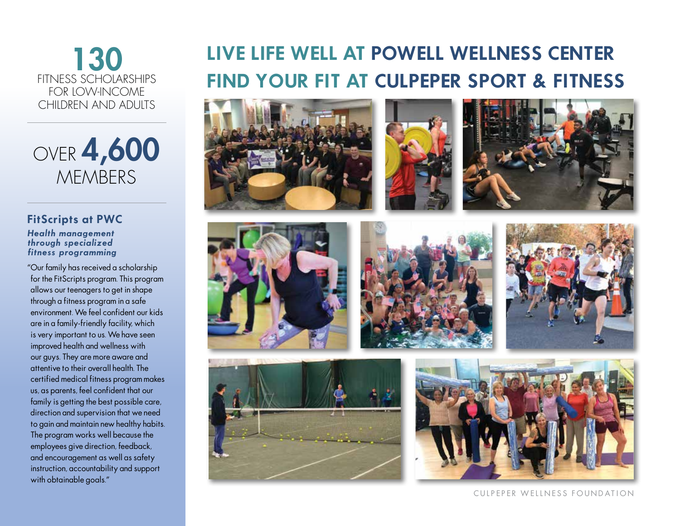### 130 FITNESS SCHOLARSHIPS FOR LOW-INCOME CHILDREN AND ADUITS

## OVER **4,600 MEMBERS**

#### **FitScripts at PWC Health management through specialized fitness programming**

"Our family has received a scholarship for the FitScripts program. This program allows our teenagers to get in shape through a fitness program in a safe environment. We feel confident our kids are in a family-friendly facility, which is very important to us. We have seen improved health and wellness with our guys. They are more aware and attentive to their overall health. The certified medical fitness program makes us, as parents, feel confident that our family is getting the best possible care, direction and supervision that we need to gain and maintain new healthy habits. The program works well because the employees give direction, feedback, and encouragement as well as safety instruction, accountability and support with obtainable goals."

## **LIVE LIFE WELL AT POWELL WELLNESS CENTER FIND YOUR FIT AT CULPEPER SPORT & FITNESS**

















CULPEPER WELLNESS FOUNDATION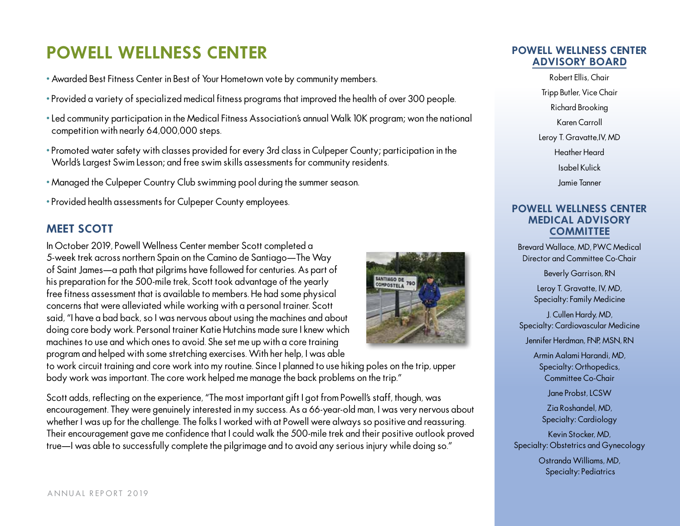## **POWELL WELLNESS CENTER**

- Awarded Best Fitness Center in Best of Your Hometown vote by community members.
- Provided a variety of specialized medical fitness programs that improved the health of over 300 people.
- Led community participation in the Medical Fitness Association's annual Walk 10K program; won the national competition with nearly 64,000,000 steps.
- Promoted water safety with classes provided for every 3rd class in Culpeper County; participation in the World's Largest Swim Lesson; and free swim skills assessments for community residents.
- Managed the Culpeper Country Club swimming pool during the summer season.
- Provided health assessments for Culpeper County employees.

#### **MEET SCOTT**

In October 2019, Powell Wellness Center member Scott completed a 5-week trek across northern Spain on the Camino de Santiago—The Way of Saint James—a path that pilgrims have followed for centuries. As part of his preparation for the 500-mile trek, Scott took advantage of the yearly free fitness assessment that is available to members. He had some physical concerns that were alleviated while working with a personal trainer. Scott said, "I have a bad back, so I was nervous about using the machines and about doing core body work. Personal trainer Katie Hutchins made sure I knew which machines to use and which ones to avoid. She set me up with a core training program and helped with some stretching exercises. With her help, I was able



to work circuit training and core work into my routine. Since I planned to use hiking poles on the trip, upper body work was important. The core work helped me manage the back problems on the trip."

Scott adds, reflecting on the experience, "The most important gift I got from Powell's staff, though, was encouragement. They were genuinely interested in my success. As a 66-year-old man, I was very nervous about whether I was up for the challenge. The folks I worked with at Powell were always so positive and reassuring. Their encouragement gave me confidence that I could walk the 500-mile trek and their positive outlook proved true—I was able to successfully complete the pilgrimage and to avoid any serious injury while doing so."

#### **POWELL WELLNESS CENTER ADVISORY BOARD**

Robert Ellis, Chair Tripp Butler, Vice Chair Richard Brooking Karen Carroll Leroy T. Gravatte,IV, MD Heather Heard Isabel Kulick Jamie Tanner

#### **POWELL WELLNESS CENTER MEDICAL ADVISORY COMMITTEE**

Brevard Wallace, MD, PWC Medical Director and Committee Co-Chair

Beverly Garrison, RN

Leroy T. Gravatte, IV, MD, Specialty: Family Medicine

J. Cullen Hardy, MD, Specialty: Cardiovascular Medicine

Jennifer Herdman, FNP, MSN, RN

Armin Aalami Harandi, MD, Specialty: Orthopedics, Committee Co-Chair

Jane Probst, LCSW

Zia Roshandel, MD, Specialty: Cardiology

Kevin Stocker, MD, Specialty: Obstetrics and Gynecology

> Ostranda Williams, MD, Specialty: Pediatrics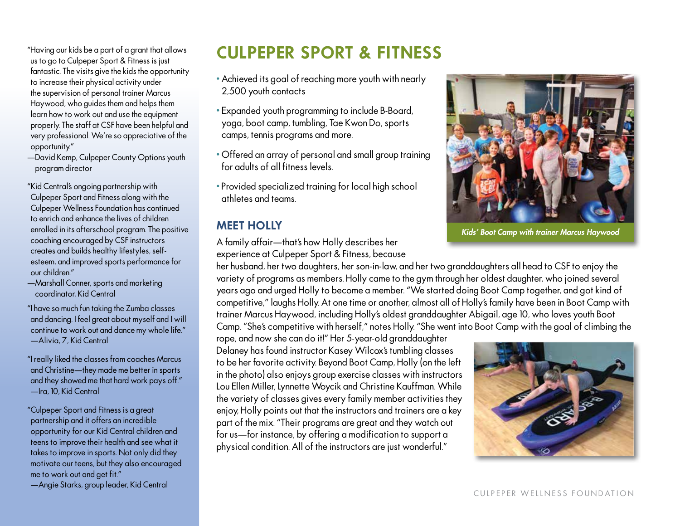"Having our kids be a part of a grant that allows us to go to Culpeper Sport & Fitness is just fantastic. The visits give the kids the opportunity to increase their physical activity under the supervision of personal trainer Marcus Haywood, who guides them and helps them learn how to work out and use the equipment properly. The staff at CSF have been helpful and very professional. We're so appreciative of the opportunity."

—David Kemp, Culpeper County Options youth program director

"Kid Central's ongoing partnership with Culpeper Sport and Fitness along with the Culpeper Wellness Foundation has continued to enrich and enhance the lives of children enrolled in its afterschool program. The positive coaching encouraged by CSF instructors creates and builds healthy lifestyles, selfesteem, and improved sports performance for our children."

- —Marshall Conner, sports and marketing coordinator, Kid Central
- "I have so much fun taking the Zumba classes and dancing. I feel great about myself and I will continue to work out and dance my whole life." —Alivia, 7, Kid Central
- "I really liked the classes from coaches Marcus and Christine—they made me better in sports and they showed me that hard work pays off." —Ira, 10, Kid Central
- "Culpeper Sport and Fitness is a great partnership and it offers an incredible opportunity for our Kid Central children and teens to improve their health and see what it takes to improve in sports. Not only did they motivate our teens, but they also encouraged me to work out and get fit."

—Angie Starks, group leader, Kid Central

## **CULPEPER SPORT & FITNESS**

- Achieved its goal of reaching more youth with nearly 2,500 youth contacts
- Expanded youth programming to include B-Board, yoga, boot camp, tumbling, Tae Kwon Do, sports camps, tennis programs and more.
- Offered an array of personal and small group training for adults of all fitness levels.
- Provided specialized training for local high school athletes and teams.

#### **MEET HOLLY**

A family affair—that's how Holly describes her experience at Culpeper Sport & Fitness, because



*Kids' Boot Camp with trainer Marcus Haywood*

her husband, her two daughters, her son-in-law, and her two granddaughters all head to CSF to enjoy the variety of programs as members. Holly came to the gym through her oldest daughter, who joined several years ago and urged Holly to become a member. "We started doing Boot Camp together, and got kind of competitive," laughs Holly. At one time or another, almost all of Holly's family have been in Boot Camp with trainer Marcus Haywood, including Holly's oldest granddaughter Abigail, age 10, who loves youth Boot Camp. "She's competitive with herself," notes Holly. "She went into Boot Camp with the goal of climbing the

rope, and now she can do it!" Her 5-year-old granddaughter Delaney has found instructor Kasey Wilcox's tumbling classes to be her favorite activity. Beyond Boot Camp, Holly (on the left in the photo) also enjoys group exercise classes with instructors Lou Ellen Miller, Lynnette Woycik and Christine Kauffman. While the variety of classes gives every family member activities they enjoy, Holly points out that the instructors and trainers are a key part of the mix. "Their programs are great and they watch out for us—for instance, by offering a modification to support a physical condition. All of the instructors are just wonderful."

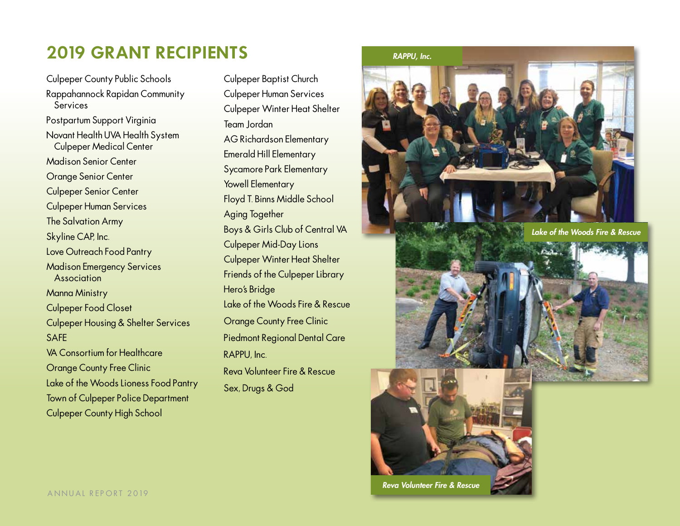## **2019 GRANT RECIPIENTS**

Culpeper County Public Schools Rappahannock Rapidan Community Services Postpartum Support Virginia Novant Health UVA Health System Culpeper Medical Center Madison Senior Center Orange Senior Center Culpeper Senior Center Culpeper Human Services The Salvation Army Skyline CAP, Inc. Love Outreach Food Pantry Madison Emergency Services Association Manna Ministry Culpeper Food Closet Culpeper Housing & Shelter Services SAFE VA Consortium for Healthcare Orange County Free Clinic Lake of the Woods Lioness Food Pantry Town of Culpeper Police Department Culpeper County High School

Culpeper Baptist Church Culpeper Human Services Culpeper Winter Heat Shelter Team Jordan AG Richardson Elementary Emerald Hill Elementary Sycamore Park Elementary Yowell Elementary Floyd T. Binns Middle School Aging Together Boys & Girls Club of Central VA Culpeper Mid-Day Lions Culpeper Winter Heat Shelter Friends of the Culpeper Library Hero's Bridge Lake of the Woods Fire & Rescue Orange County Free Clinic Piedmont Regional Dental Care RAPPU, Inc. Reva Volunteer Fire & Rescue Sex, Drugs & God

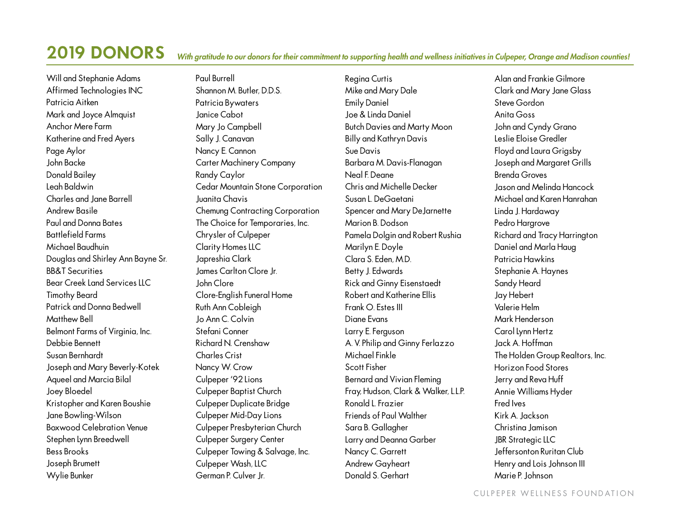## **2019 DONORS**

#### *With gratitude to our donors for their commitment to supporting health and wellness initiatives in Culpeper, Orange and Madison counties!*

Will and Stephanie Adams Affirmed Technologies INC Patricia Aitken Mark and Joyce Almquist Anchor Mere Farm Katherine and Fred Ayers Page Aylor John Backe Donald Bailey Leah Baldwin Charles and Jane Barrell Andrew Basile Paul and Donna Bates Battlefield Farms Michael Baudhuin Douglas and Shirley Ann Bayne Sr. BB&T Securities Bear Creek Land Services LLC Timothy Beard Patrick and Donna Bedwell Matthew Bell Belmont Farms of Virginia, Inc. Debbie Bennett Susan Bernhardt Joseph and Mary Beverly-Kotek Aqueel and Marcia Bilal Joey Bloedel Kristopher and Karen Boushie Jane Bowling-Wilson Boxwood Celebration Venue Stephen Lynn Breedwell Bess Brooks Joseph Brumett Wylie Bunker

Paul Burrell Shannon M. Butler, D.D.S. Patricia Bywaters Janice Cabot Mary Jo Campbell Sally J. Canavan Nancy E. Cannon Carter Machinery Company Randy Caylor Cedar Mountain Stone Corporation Juanita Chavis Chemung Contracting Corporation The Choice for Temporaries, Inc. Chrysler of Culpeper Clarity Homes LLC Japreshia Clark James Carlton Clore Jr. John Clore Clore-English Funeral Home Ruth Ann Cobleigh Jo Ann C. Colvin Stefani Conner Richard N. Crenshaw Charles Crist Nancy W. Crow Culpeper '92 Lions Culpeper Baptist Church Culpeper Duplicate Bridge Culpeper Mid-Day Lions Culpeper Presbyterian Church Culpeper Surgery Center Culpeper Towing & Salvage, Inc. Culpeper Wash, LLC German P. Culver Jr.

Regina Curtis Mike and Mary Dale Emily Daniel Joe & Linda Daniel Butch Davies and Marty Moon Billy and Kathryn Davis Sue Davis Barbara M. Davis-Flanagan Neal F. Deane Chris and Michelle Decker Susan L. DeGaetani Spencer and Mary DeJarnette Marion B. Dodson Pamela Dolgin and Robert Rushia Marilyn E. Doyle Clara S. Eden, M.D. Betty J. Edwards Rick and Ginny Eisenstaedt Robert and Katherine Ellis Frank O. Estes III Diane Evans Larry E. Ferguson A. V. Philip and Ginny Ferlazzo Michael Finkle Scott Fisher Bernard and Vivian Fleming Fray, Hudson, Clark & Walker, L.L.P. Ronald L. Frazier Friends of Paul Walther Sara B. Gallagher Larry and Deanna Garber Nancy C. Garrett Andrew Gayheart Donald S. Gerhart

Alan and Frankie Gilmore Clark and Mary Jane Glass Steve Gordon Anita Goss John and Cyndy Grano Leslie Eloise Gredler Floyd and Laura Grigsby Joseph and Margaret Grills Brenda Groves Jason and Melinda Hancock Michael and Karen Hanrahan Linda J. Hardaway Pedro Hargrove Richard and Tracy Harrington Daniel and Marla Haug Patricia Hawkins Stephanie A. Haynes Sandy Heard Jay Hebert Valerie Helm Mark Henderson Carol Lynn Hertz Jack A. Hoffman The Holden Group Realtors, Inc. Horizon Food Stores Jerry and Reva Huff Annie Williams Hyder Fred Ives Kirk A. Jackson Christina Jamison **JBR** Strategic LLC Jeffersonton Ruritan Club Henry and Lois Johnson III Marie P. Johnson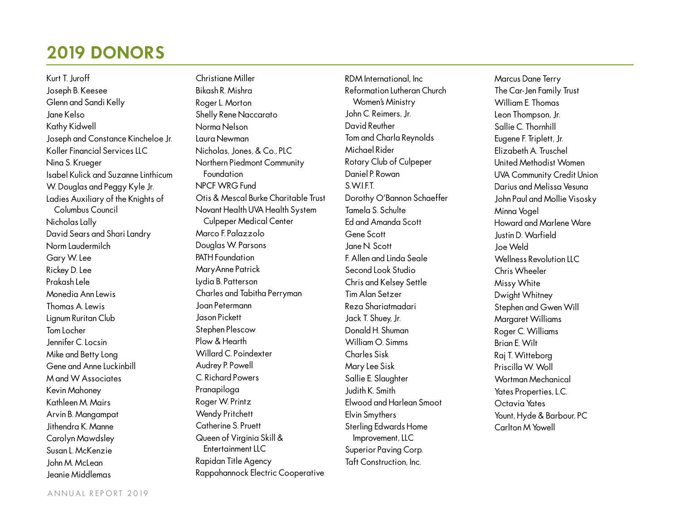## **2019 DONORS**

Kurt T. Juroff Joseph B. Keesee Glenn and Sandi Kelly Jane Kelso Kathy Kidwell Joseph and Constance Kincheloe Jr. Koller Financial Services LLC Nina S. Krueger Isabel Kulick and Suzanne Linthicum W. Douglas and Peggy Kyle Jr. Ladies Auxiliary of the Knights of Columbus Council Nicholas Lally David Sears and Shari Landry Norm Laudermilch Gary W. Lee Rickey D. Lee Prakash Lele Monedia Ann Lewis Thomas A. Lewis Lignum Ruritan Club Tom Locher Jennifer C. Locsin Mike and Betty Long Gene and Anne Luckinbill M and W Associates Kevin Mahoney Kathleen M. Mairs Arvin B. Mangampat Jithendra K. Manne Carolyn Mawdsley Susan L. McKenzie John M. McLean Jeanie Middlemas

Christiane Miller Bikash R. Mishra Roger L. Morton Shelly Rene Naccarato Norma Nelson Laura Newman Nicholas, Jones, & Co., PLC Northern Piedmont Community **Foundation** NPCF WRG Fund Otis & Mescal Burke Charitable Trust Novant Health UVA Health System Culpeper Medical Center Marco F. Palazzolo Douglas W. Parsons PATH Foundation MaryAnne Patrick Lydia B. Patterson Charles and Tabitha Perryman Joan Petermann Jason Pickett Stephen Plescow Plow & Hearth Willard C. Poindexter Audrey P. Powell C. Richard Powers Pranapiloga Roger W. Printz Wendy Pritchett Catherine S. Pruett Queen of Virginia Skill & Entertainment LLC Rapidan Title Agency Rappahannock Electric Cooperative

RDM International, Inc Reformation Lutheran Church Women's Ministry John C. Reimers, Jr. David Reuther Tom and Charla Reynolds Michael Rider Rotary Club of Culpeper Daniel P. Rowan S.W.I.F.T. Dorothy O'Bannon Schaeffer Tamela S. Schulte Ed and Amanda Scott Gene Scott Jane N. Scott F. Allen and Linda Seale Second Look Studio Chris and Kelsey Settle Tim Alan Setzer Reza Shariatmadari Jack T. Shuey, Jr. Donald H. Shuman William ∩ Simms Charles Sisk Mary Lee Sisk Sallie E. Slaughter Judith K. Smith Elwood and Harlean Smoot Elvin Smythers Sterling Edwards Home Improvement, LLC Superior Paving Corp. Taft Construction, Inc.

Marcus Dane Terry The Car-Jen Family Trust William E. Thomas Leon Thompson, Jr. Sallie C. Thornhill Eugene F. Triplett, Jr. Elizabeth A. Truschel United Methodist Women UVA Community Credit Union Darius and Melissa Vesuna John Paul and Mollie Visosky Minna Vogel Howard and Marlene Ware Justin D. Warfield Joe Weld Wellness Revolution IIC Chris Wheeler Missy White Dwight Whitney Stephen and Gwen Will Margaret Williams Roger C. Williams Brian E. Wilt Raj T. Witteborg Priscilla W. Woll Wortman Mechanical Yates Properties, L.C. Octavia Yates Yount, Hyde & Barbour, PC Carlton M Yowell